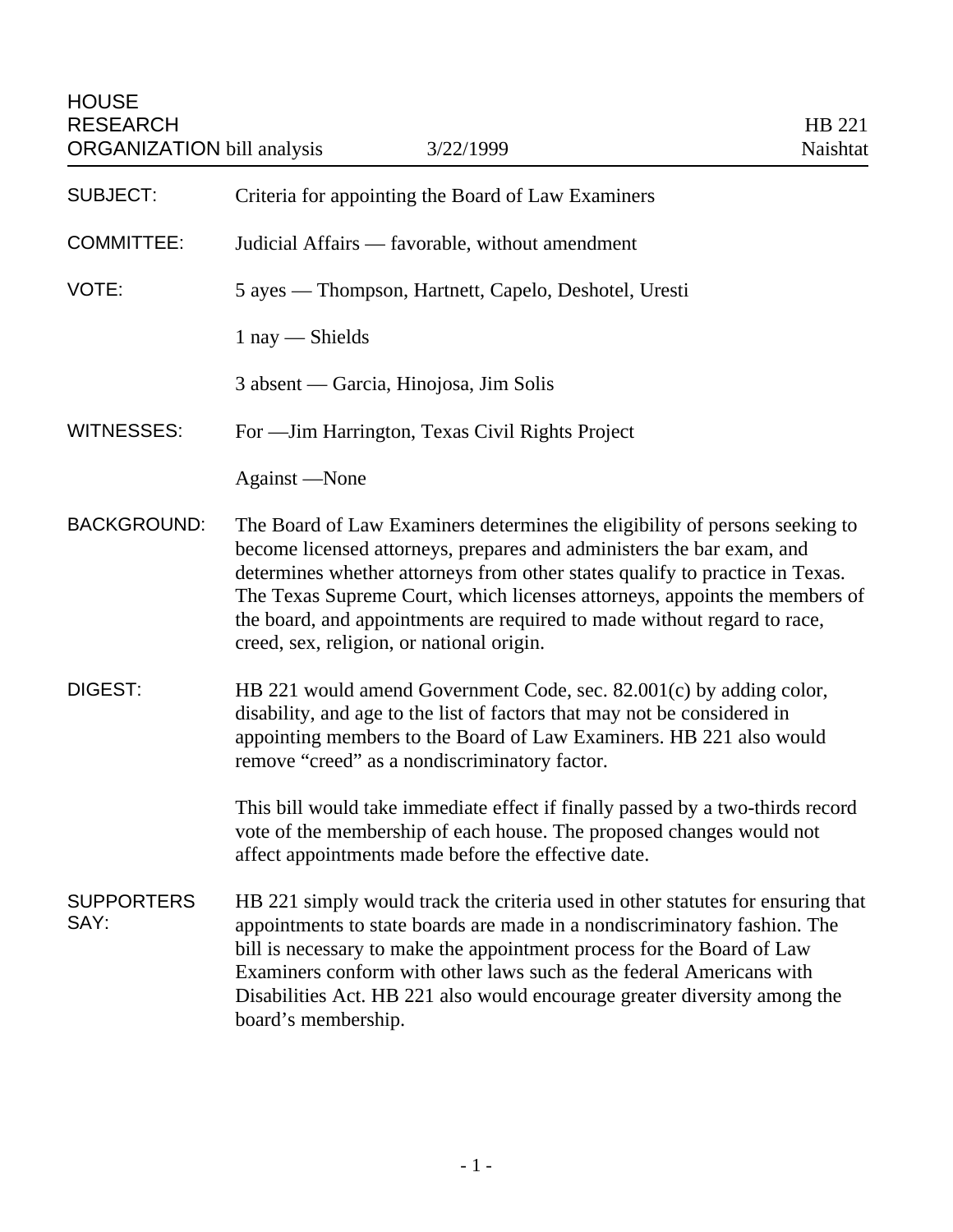| <b>SUBJECT:</b>           | Criteria for appointing the Board of Law Examiners                                                                                                                                                                                                                                                                                                                                                                                          |
|---------------------------|---------------------------------------------------------------------------------------------------------------------------------------------------------------------------------------------------------------------------------------------------------------------------------------------------------------------------------------------------------------------------------------------------------------------------------------------|
| <b>COMMITTEE:</b>         | Judicial Affairs — favorable, without amendment                                                                                                                                                                                                                                                                                                                                                                                             |
| VOTE:                     | 5 ayes — Thompson, Hartnett, Capelo, Deshotel, Uresti                                                                                                                                                                                                                                                                                                                                                                                       |
|                           | $1$ nay $-$ Shields                                                                                                                                                                                                                                                                                                                                                                                                                         |
|                           | 3 absent — Garcia, Hinojosa, Jim Solis                                                                                                                                                                                                                                                                                                                                                                                                      |
| <b>WITNESSES:</b>         | For - Jim Harrington, Texas Civil Rights Project                                                                                                                                                                                                                                                                                                                                                                                            |
|                           | Against —None                                                                                                                                                                                                                                                                                                                                                                                                                               |
| <b>BACKGROUND:</b>        | The Board of Law Examiners determines the eligibility of persons seeking to<br>become licensed attorneys, prepares and administers the bar exam, and<br>determines whether attorneys from other states qualify to practice in Texas.<br>The Texas Supreme Court, which licenses attorneys, appoints the members of<br>the board, and appointments are required to made without regard to race,<br>creed, sex, religion, or national origin. |
| <b>DIGEST:</b>            | HB 221 would amend Government Code, sec. 82.001(c) by adding color,<br>disability, and age to the list of factors that may not be considered in<br>appointing members to the Board of Law Examiners. HB 221 also would<br>remove "creed" as a nondiscriminatory factor.                                                                                                                                                                     |
|                           | This bill would take immediate effect if finally passed by a two-thirds record<br>vote of the membership of each house. The proposed changes would not<br>affect appointments made before the effective date.                                                                                                                                                                                                                               |
| <b>SUPPORTERS</b><br>SAY: | HB 221 simply would track the criteria used in other statutes for ensuring that<br>appointments to state boards are made in a nondiscriminatory fashion. The<br>bill is necessary to make the appointment process for the Board of Law<br>Examiners conform with other laws such as the federal Americans with<br>Disabilities Act. HB 221 also would encourage greater diversity among the<br>board's membership.                          |